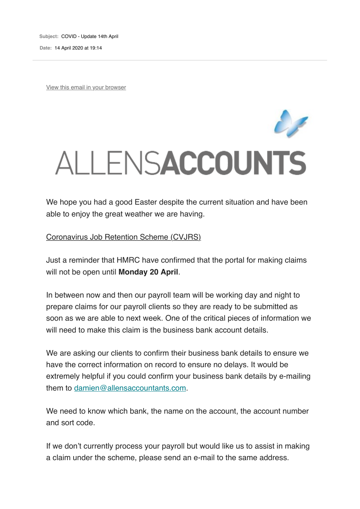**Subject:** COVID - Update 14th April

**Date:** 14 April 2020 at 19:14

View this email in your browser

## ALLENSACCOUNTS

We hope you had a good Easter despite the current situation and have been able to enjoy the great weather we are having.

Coronavirus Job Retention Scheme (CVJRS)

Just a reminder that HMRC have confirmed that the portal for making claims will not be open until **Monday 20 April**.

In between now and then our payroll team will be working day and night to prepare claims for our payroll clients so they are ready to be submitted as soon as we are able to next week. One of the critical pieces of information we will need to make this claim is the business bank account details.

We are asking our clients to confirm their business bank details to ensure we have the correct information on record to ensure no delays. It would be extremely helpful if you could confirm your business bank details by e-mailing them to damien@allensaccountants.com.

We need to know which bank, the name on the account, the account number and sort code.

If we don't currently process your payroll but would like us to assist in making a claim under the scheme, please send an e-mail to the same address.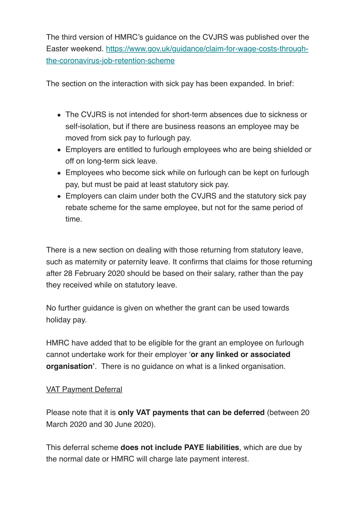The third version of HMRC's guidance on the CVJRS was published over the Easter weekend. https://www.gov.uk/guidance/claim-for-wage-costs-throughthe-coronavirus-job-retention-scheme

The section on the interaction with sick pay has been expanded. In brief:

- The CVJRS is not intended for short-term absences due to sickness or self-isolation, but if there are business reasons an employee may be moved from sick pay to furlough pay.
- Employers are entitled to furlough employees who are being shielded or off on long-term sick leave.
- Employees who become sick while on furlough can be kept on furlough pay, but must be paid at least statutory sick pay.
- Employers can claim under both the CVJRS and the statutory sick pay rebate scheme for the same employee, but not for the same period of time.

There is a new section on dealing with those returning from statutory leave, such as maternity or paternity leave. It confirms that claims for those returning after 28 February 2020 should be based on their salary, rather than the pay they received while on statutory leave.

No further guidance is given on whether the grant can be used towards holiday pay.

HMRC have added that to be eligible for the grant an employee on furlough cannot undertake work for their employer '**or any linked or associated organisation'**. There is no guidance on what is a linked organisation.

## VAT Payment Deferral

Please note that it is **only VAT payments that can be deferred** (between 20 March 2020 and 30 June 2020).

This deferral scheme **does not include PAYE liabilities**, which are due by the normal date or HMRC will charge late payment interest.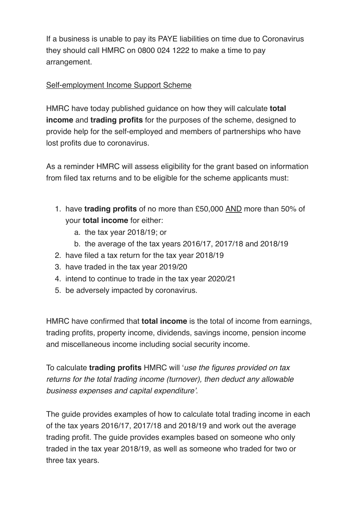If a business is unable to pay its PAYE liabilities on time due to Coronavirus they should call HMRC on 0800 024 1222 to make a time to pay arrangement.

## Self-employment Income Support Scheme

HMRC have today published guidance on how they will calculate **total income** and **trading profits** for the purposes of the scheme, designed to provide help for the self-employed and members of partnerships who have lost profits due to coronavirus.

As a reminder HMRC will assess eligibility for the grant based on information from filed tax returns and to be eligible for the scheme applicants must:

- 1. have **trading profits** of no more than £50,000 AND more than 50% of your **total income** for either:
	- a. the tax year 2018/19; or
	- b. the average of the tax years 2016/17, 2017/18 and 2018/19
- 2. have filed a tax return for the tax year 2018/19
- 3. have traded in the tax year 2019/20
- 4. intend to continue to trade in the tax year 2020/21
- 5. be adversely impacted by coronavirus.

HMRC have confirmed that **total income** is the total of income from earnings, trading profits, property income, dividends, savings income, pension income and miscellaneous income including social security income.

To calculate **trading profits** HMRC will '*use the figures provided on tax returns for the total trading income (turnover), then deduct any allowable business expenses and capital expenditure'*.

The guide provides examples of how to calculate total trading income in each of the tax years 2016/17, 2017/18 and 2018/19 and work out the average trading profit. The guide provides examples based on someone who only traded in the tax year 2018/19, as well as someone who traded for two or three tax years.